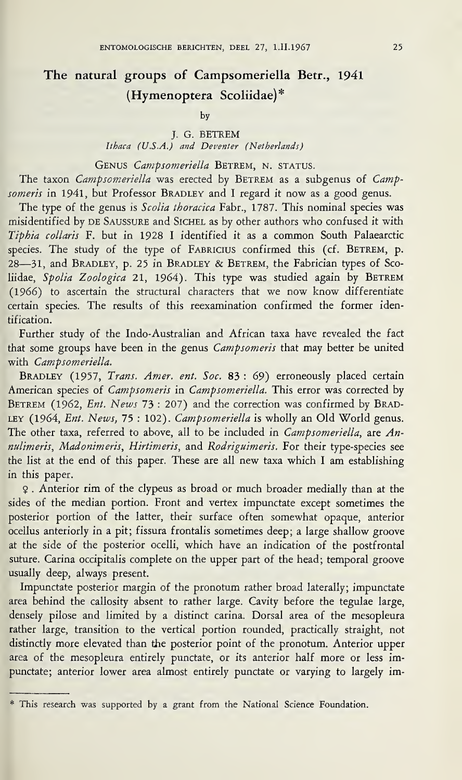## The natural groups of Campsomeriella Betr., 1941 (Hymenoptera Scoliidae)\*

by

J. G. BETKEM

Ithaca (US.A.) and Deventer (Netherlands)

GENUS Campsomeriella BETREM, N. STATUS.

The taxon Campsomeriella was erected by BETREM as a subgenus of Campsomeris in 1941, but Professor BRADLEY and I regard it now as a good genus.

The type of the genus is *Scolia thoracica* Fabr., 1787. This nominal species was misidentified by DE SAUSSURE and SICHEL as by other authors who confused it with Tiphia collaris F. but in 1928 I identified it as a common South Palaearctic species. The study of the type of FABRICIUS confirmed this (cf. BETREM, p. 28-31, and BRADLEY, p. 25 in BRADLEY & BETREM, the Fabrician types of Scoliidae, Spolia Zoologica 21, 1964). This type was studied again by BETREM (1966) to ascertain the structural characters that we now know differentiate certain species. The results of this reexamination confirmed the former identification.

Further study of the Indo-Australian and African taxa have revealed the fact that some groups have been in the genus *Campsomeris* that may better be united with Campsomeriella.

BRADLEY (1957, Trans. Amer. ent. Soc. 83 : 69) erroneously placed certain American species of Campsomeris in Campsomeriella. This error was corrected by BETREM (1962, Ent. News 73 : 207) and the correction was confirmed by BRAD-LEY (1964, Ent. News, 75 : 102). Campsomeriella is wholly an Old World genus. The other taxa, referred to above, all to be included in *Campsomeriella*, are *An*nulimeris, Madonimeris, Hirtimeris, and Rodriguimeris. For their type-species see the list at the end of this paper. These are all new taxa which I am establishing in this paper.

\$ . Anterior rim of the clypeus as broad or much broader medially than at the sides of the median portion. Front and vertex impunctate except sometimes the posterior portion of the latter, their surface often somewhat opaque, anterior ocellus anteriorly in a pit; fissura frontalis sometimes deep; a large shallow groove at the side of the posterior ocelli, which have an indication of the postfrontal suture. Carina occipitalis complete on the upper part of the head; temporal groove usually deep, always present.

Impunctate posterior margin of the pronotum rather broad laterally; impunctate area behind the callosity absent to rather large. Cavity before the tegulae large, densely pilose and limited by a distinct carina. Dorsal area of the mesopleura rather large, transition to the vertical portion rounded, practically straight, not distinctly more elevated than the posterior point of the pronotum. Anterior upper area of the mesopleura entirely punctate, or its anterior half more or less impunctate; anterior lower area almost entirely punctate or varying to largely im-

<sup>\*</sup> This research was supported by a grant from the National Science Foundation.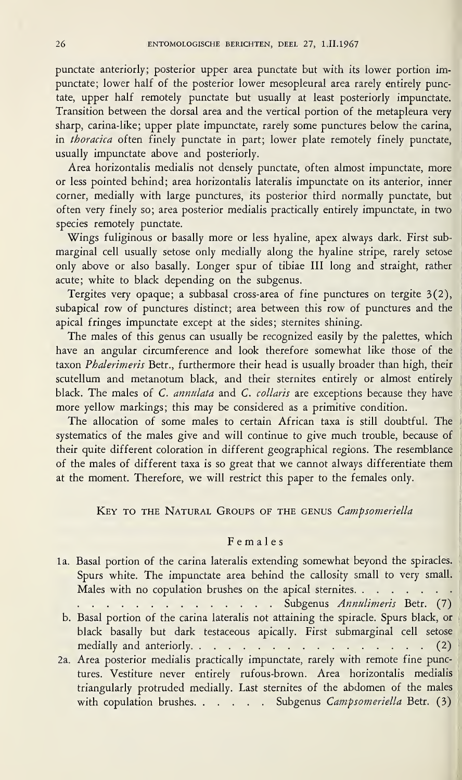punctate anteriorly; posterior upper area punctate but with its lower portion impunctate; lower half of the posterior lower mesopleural area rarely entirely punctate, upper half remotely punctate but usually at least posteriorly impunctate. Transition between the dorsal area and the vertical portion of the metapleura very sharp, carina-like; upper plate impunctate, rarely some punctures below the carina, in thoracica often finely punctate in part; lower plate remotely finely punctate, usually impunctate above and posteriorly.

Area horizontalis medialis not densely punctate, often almost impunctate, more or less pointed behind; area horizontalis lateralis impunctate on its anterior, inner corner, medially with large punctures, its posterior third normally punctate, but often very finely so; area posterior medialis practically entirely impunctate, in two species remotely punctate.

Wings fuliginous or basally more or less hyaline, apex always dark. First submarginal cell usually setose only medially along the hyaline stripe, rarely setose only above or also basally. Longer spur of tibiae III long and straight, rather acute; white to black depending on the subgenus.

Tergites very opaque; a subbasal cross-area of fine punctures on tergite 3(2), subapical row of punctures distinct; area between this row of punctures and the apical fringes impunctate except at the sides; sternites shining.

The males of this genus can usually be recognized easily by the palettes, which have an angular circumference and look therefore somewhat like those of the taxon Phalerimeris Betr., furthermore their head is usually broader than high, their scutellum and metanotum black, and their sternites entirely or almost entirely black. The males of C. annulata and C. collaris are exceptions because they have more yellow markings; this may be considered as a primitive condition.

The allocation of some males to certain African taxa is still doubtful. The systematics of the males give and will continue to give much trouble, because of their quite different coloration in different geographical regions. The resemblance of the males of different taxa is so great that we cannot always differentiate them at the moment. Therefore, we will restrict this paper to the females only.

KEY TO THE NATURAL GROUPS OF THE GENUS Campsomeriella

## Females

la. Basal portion of the carina lateralis extending somewhat beyond the spiracles. Spurs white. The impunctate area behind the callosity small to very small.<br>Males with no copulation brushes on the apical sternites. .Subgenus Annulimeris Betr. (7)

b. Basal portion of the carina lateralis not attaining the spiracle. Spurs black, or black basally but dark testaceous apically. First submarginal cell setose medially and anteriorly.(2)

2a. Area posterior medialis practically impunctate, rarely with remote fine punctures. Vestiture never entirely rufous-brown. Area horizontalis medialis triangularly protruded medially. Last sternites of the abdomen of the males with copulation brushes. . . . . Subgenus Campsomeriella Betr. (3)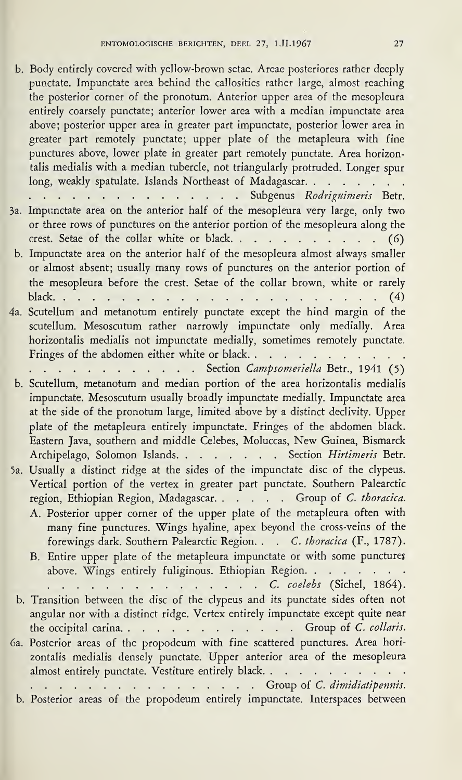b. Body entirely covered with yellow-brown setae. Areae posteriores rather deeply punctate. Impunctate area behind the callosities rather large, almost reaching the posterior corner of the pronotum. Anterior upper area of the mesopleura entirely coarsely punctate; anterior lower area with a median impunctate area above; posterior upper area in greater part impunctate, posterior lower area in greater part remotely punctate; upper plate of the metapleura with fine punctures above, lower plate in greater part remotely punctate. Area horizontalis medialis with a median tubercle, not triangularly protruded. Longer spur talis medialis with a median tubercle, not triangularly protruded. Longer spur<br>long, weakly spatulate. Islands Northeast of Madagascar. punctures above, lower plate in greater part remotely punctate. Area horizontalis medialis with a median tubercle, not triangularly protruded. Longer spur<br>long, weakly spatulate. Islands Northeast of Madagascar. . . . . . 3a. Impunctate area on the anterior half of the mesopleura very large, only two or three rows of punctures on the anterior portion of the mesopleura along the Impunctate area on the anterior half of the mesopleura very large, only two<br>or three rows of punctures on the anterior portion of the mesopleura along the<br>crest. Setae of the collar white or black......................... b. Impunctate area on the anterior half of the mesopleura almost always smaller or almost absent; usually many rows of punctures on the anterior portion of black.(4) 4a. Scutellum and metanotum entirely punctate except the hind margin of the the mesopleura before the crest. Setae of the collar brown, white or rarely scutellum. Mesoscutum rather narrowly impunctate only medially. Area horizontalis medialis not impunctate medially, sometimes remotely punctate. Scutellum and metanotum entirely punctate except the hind margin of the scutellum. Mesoscutum rather narrowly impunctate only medially. Area horizontalis medialis not impunctate medially, sometimes remotely punctate.<br>Fring scutellum. Mesoscutum rather narrowly impunctate only medially. Area<br>horizontalis medialis not impunctate medially, sometimes remotely punctate.<br>Fringes of the abdomen either white or black................................. b. Scutellum, metanotum and median portion of the area horizontalis medialis impunctate. Mesoscutum usually broadly impunctate medially. Impunctate area at the side of the pronotum large, limited above by a distinct declivity. Upper plate of the metapleura entirely impunctate. Fringes of the abdomen black. Eastern Java, southern and middle Celebes, Moluccas, New Guinea, Bismarck<br>Archipelago, Solomon Islands. . . . . . . . . . Section *Hirtimeris* Betr. 5a. Usually a distinct ridge at the sides of the impunctate disc of the clypeus. Vertical portion of the vertex in greater part punctate. Southern Palearctic<br>region, Ethiopian Region, Madagascar. . . . . . Group of *C. thoracica*. A. Posterior upper corner of the upper plate of the metapleura often with many fine punctures. Wings hyaline, apex beyond the cross-veins of the forewings dark. Southern Palearctic Region. . . C. thoracica (F., 1787). B. Entire upper plate of the metapleura impunctate or with some punctures<br>above. Wings entirely fuliginous. Ethiopian Region......... above. Wings entirely fuliginous. Ethiopian Region. . . . . . . . Entrepty converted with period of the proposition of the proposition of the proposition of the proposition of the proposition of the proposition of the proposition of the proposition of the proposition of the proposition o n Region.<br>C. coelebs (Sichel, 1864). b. Transition between the disc of the clypeus and its punctate sides often not angular nor with a distinct ridge. Vertex entirely impunctate except quite near the occipital carina. The occipital carina. Crown is a distinct ridge. Vertex entirely impunctate except quite near the occipital carina. Crown is controlled by the propodeum with fine scattered punctures. Area horizontalis medialis densely punctate. Upper anterior area of the mesopleura ally a metallic respect to the entirely punctate. The scattered punctures. Area horizontalis medialis densely punctate. Upper anterior area of the mesopleura almost entirely punctate. Vestiture entirely black.<br>
...........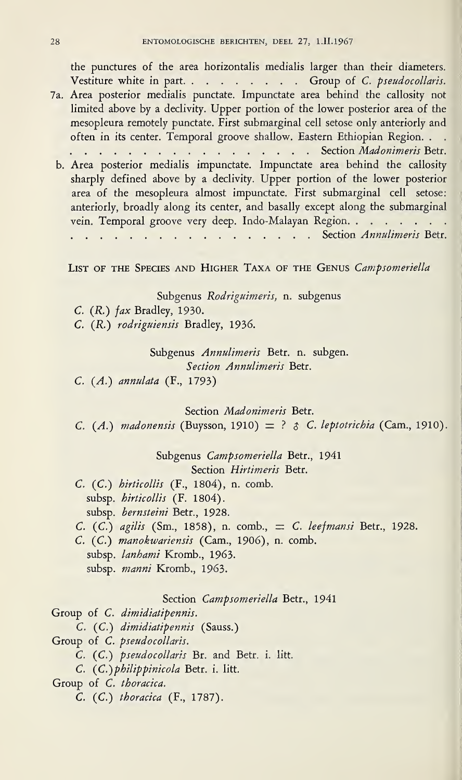the punctures of the area horizontalis medialis larger than their diameters. Vestiture white in part. . . . . . . . Group of C. pseudocollaris. 7a. Area posterior medialis punctate. Impunctate area behind the callosity not limited above by a declivity. Upper portion of the lower posterior area of the mesopleura remotely punctate. First submarginal cell setose only anteriorly and often in its center. Temporal groove shallow. Eastern Ethiopian Region. . . Area posterior medialis punctate. Impunctate area behind the callosity not limited above by a declivity. Upper portion of the lower posterior area of the mesopleura remotely punctate. First submarginal cell setose only ant b. Area posterior medialis impunctate. Impunctate area behind the callosity sharply defined above by a declivity. Upper portion of the lower posterior area of the mesopleura almost impunctate. First submarginal cell setose: anteriorly, broadly along its center, and basally except along the submarginal area or the mesopieura almost impunctate. First submarginal cell setose:<br>anteriorly, broadly along its center, and basally except along the submarginal<br>vein. Temporal groove very deep. Indo-Malayan Region......... .. . . . . . . . . . . . . . . . . Section Annulimeris Betr. LIST OF THE SPECIES AND HIGHER TAXA OF THE GENUS Campsomeriella Subgenus Rodriguimeris, n. subgenus C. (R.) fax Bradley, 1930. C. (R.) rodriguiensis Bradley, 1936. Subgenus Annulimeris Betr. n. subgen. Section Annulimeris Betr. C. (A.) annulata (F., 1793)

Section Madonimeris Betr.

C. (A.) madonensis (Buysson, 1910)  $= ? \mathcal{E}$  C. leptotrichia (Cam., 1910).

Subgenus Campsomeriella Betr., 1941 Section Hirtimeris Betr.

- C. (C.) hirticollis (F., 1804), n. comb, subsp. hirticollis (F. 1804). subsp. hernsteini Betr., 1928.
- C.  $(C.$ ) agilis (Sm., 1858), n. comb.,  $= C.$  leefmansi Betr., 1928.
- C. (C.) manokwariensis (Cam., 1906), n. comb, subsp. Ianhami Kromb., 1963. subsp. manni Kromb., 1963.

Section Campsomeriella Betr., 1941

Group of C. dimidiatipennis.

C. (C.) dimidiatipennis (Sauss.)

Group of C. pseudocollaris.

C. (C.) pseudocollaris Br. and Betr. i. litt.

C. (C.) philippinicola Betr. i. litt.

Group of C. thoracica.

C. (C.) thoracica (F., 1787).